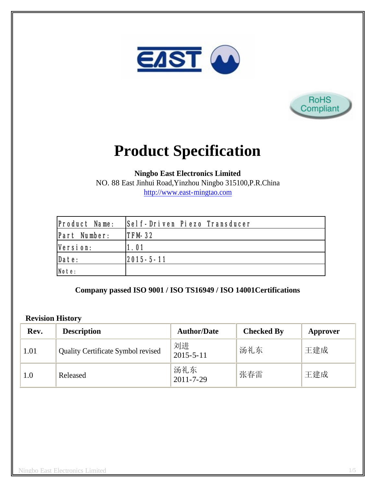



# **Product Specification**

**Ningbo East Electronics Limited**

NO. 88 East Jinhui Road,Yinzhou Ningbo 315100,P.R.China http://www.east-mingtao.com

| <b>Product Name:</b> | Self-Driven Piezo Transducer |
|----------------------|------------------------------|
| Part Number:         | $ITFM-32$                    |
| Version:             | 1.01                         |
| Date:                | $ 2015 - 5 - 11 $            |
| Note:                |                              |

**Company passed ISO 9001 / ISO TS16949 / ISO 14001Certifications**

#### **Revision History**

| Rev. | <b>Description</b>                        | <b>Author/Date</b>     | <b>Checked By</b> | Approver |
|------|-------------------------------------------|------------------------|-------------------|----------|
| 1.01 | <b>Quality Certificate Symbol revised</b> | 刘进<br>$2015 - 5 - 11$  | 汤礼东               | 王建成      |
| 1.0  | Released                                  | 汤礼东<br>$2011 - 7 - 29$ | 张春雷               | 王建成      |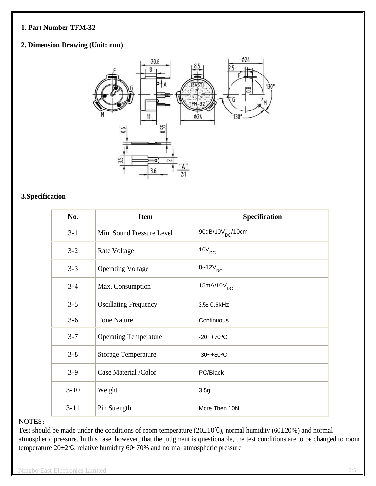#### **1. Part Number TFM-32**

### **2. Dimension Drawing (Unit: mm)**



#### **3.Specification**

| No.      | <b>Item</b>                  | Specification                |
|----------|------------------------------|------------------------------|
| $3 - 1$  | Min. Sound Pressure Level    | 90dB/10V <sub>DC</sub> /10cm |
| $3 - 2$  | Rate Voltage                 | $10V_{DC}$                   |
| $3 - 3$  | <b>Operating Voltage</b>     | $8 - 12V_{DC}$               |
| $3 - 4$  | Max. Consumption             | $15mA/10V_{DC}$              |
| $3 - 5$  | <b>Oscillating Frequency</b> | 3.5± 0.6kHz                  |
| $3 - 6$  | <b>Tone Nature</b>           | Continuous                   |
| $3 - 7$  | <b>Operating Temperature</b> | $-20 - +70$ °C               |
| $3 - 8$  | <b>Storage Temperature</b>   | $-30 - +80$ °C               |
| $3-9$    | Case Material /Color         | PC/Black                     |
| $3 - 10$ | Weight                       | 3.5g                         |
| $3 - 11$ | Pin Strength                 | More Then 10N                |

#### NOTES:

Test should be made under the conditions of room temperature ( $20\pm10^{\circ}$ C), normal humidity ( $60\pm20^{\circ}$ ) and normal atmospheric pressure. In this case, however, that the judgment is questionable, the test conditions are to be changed to room temperature 20±2℃, relative humidity 60~70% and normal atmospheric pressure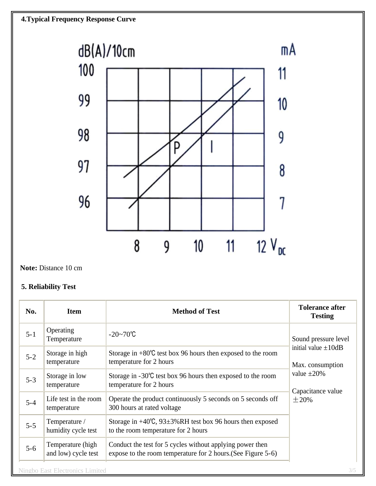

**Note:** Distance 10 cm

# **5. Reliability Test**

| No.     | <b>Item</b>                              | <b>Method of Test</b>                                                                                                     | <b>Tolerance after</b><br><b>Testing</b>                                                                                     |
|---------|------------------------------------------|---------------------------------------------------------------------------------------------------------------------------|------------------------------------------------------------------------------------------------------------------------------|
| $5 - 1$ | Operating<br>Temperature                 | $-20 - 70$ °C                                                                                                             | Sound pressure level<br>initial value $\pm 10$ dB<br>Max. consumption<br>value $\pm 20\%$<br>Capacitance value<br>$\pm 20\%$ |
| $5 - 2$ | Storage in high<br>temperature           | Storage in $+80^{\circ}$ C test box 96 hours then exposed to the room<br>temperature for 2 hours                          |                                                                                                                              |
| $5 - 3$ | Storage in low<br>temperature            | Storage in $-30^{\circ}$ C test box 96 hours then exposed to the room<br>temperature for 2 hours                          |                                                                                                                              |
| $5 - 4$ | Life test in the room<br>temperature     | Operate the product continuously 5 seconds on 5 seconds off<br>300 hours at rated voltage                                 |                                                                                                                              |
| $5 - 5$ | Temperature /<br>humidity cycle test     | Storage in $+40^{\circ}$ C, 93 $\pm$ 3%RH test box 96 hours then exposed<br>to the room temperature for 2 hours           |                                                                                                                              |
| $5 - 6$ | Temperature (high<br>and low) cycle test | Conduct the test for 5 cycles without applying power then<br>expose to the room temperature for 2 hours. (See Figure 5-6) |                                                                                                                              |
|         | <b>Ningbo East Electronics Limited</b>   |                                                                                                                           | 3/5                                                                                                                          |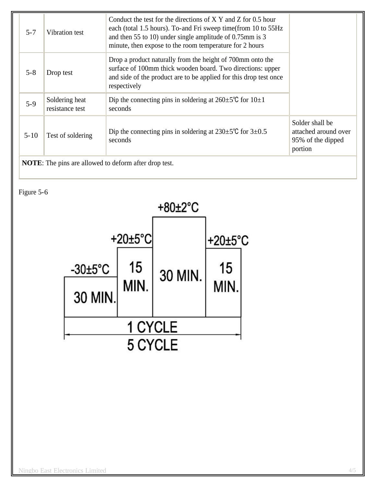| $5 - 7$                | Vibration test                    | Conduct the test for the directions of $X$ Y and Z for 0.5 hour<br>each (total 1.5 hours). To-and Fri sweep time (from 10 to 55Hz<br>and then 55 to 10) under single amplitude of 0.75mm is 3<br>minute, then expose to the room temperature for 2 hours |                                                                         |
|------------------------|-----------------------------------|----------------------------------------------------------------------------------------------------------------------------------------------------------------------------------------------------------------------------------------------------------|-------------------------------------------------------------------------|
| $5 - 8$                | Drop test                         | Drop a product naturally from the height of 700mm onto the<br>surface of 100mm thick wooden board. Two directions: upper<br>and side of the product are to be applied for this drop test once<br>respectively                                            |                                                                         |
| $5-9$                  | Soldering heat<br>resistance test | Dip the connecting pins in soldering at $260 \pm 5^{\circ}$ C for $10 \pm 1$<br>seconds                                                                                                                                                                  |                                                                         |
| $5 - 10$               | Test of soldering                 | Dip the connecting pins in soldering at $230 \pm 5^{\circ}$ for $3 \pm 0.5^{\circ}$<br>seconds                                                                                                                                                           | Solder shall be<br>attached around over<br>95% of the dipped<br>portion |
| ,,, <del>,,,</del> ,,, |                                   |                                                                                                                                                                                                                                                          |                                                                         |

**NOTE**: The pins are allowed to deform after drop test.